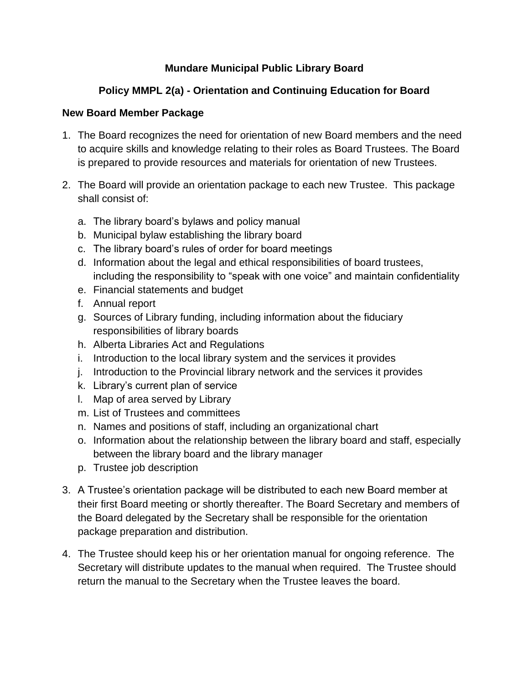# **Mundare Municipal Public Library Board**

# **Policy MMPL 2(a) - Orientation and Continuing Education for Board**

### **New Board Member Package**

- 1. The Board recognizes the need for orientation of new Board members and the need to acquire skills and knowledge relating to their roles as Board Trustees. The Board is prepared to provide resources and materials for orientation of new Trustees.
- 2. The Board will provide an orientation package to each new Trustee. This package shall consist of:
	- a. The library board's bylaws and policy manual
	- b. Municipal bylaw establishing the library board
	- c. The library board's rules of order for board meetings
	- d. Information about the legal and ethical responsibilities of board trustees, including the responsibility to "speak with one voice" and maintain confidentiality
	- e. Financial statements and budget
	- f. Annual report
	- g. Sources of Library funding, including information about the fiduciary responsibilities of library boards
	- h. Alberta Libraries Act and Regulations
	- i. Introduction to the local library system and the services it provides
	- j. Introduction to the Provincial library network and the services it provides
	- k. Library's current plan of service
	- l. Map of area served by Library
	- m. List of Trustees and committees
	- n. Names and positions of staff, including an organizational chart
	- o. Information about the relationship between the library board and staff, especially between the library board and the library manager
	- p. Trustee job description
- 3. A Trustee's orientation package will be distributed to each new Board member at their first Board meeting or shortly thereafter. The Board Secretary and members of the Board delegated by the Secretary shall be responsible for the orientation package preparation and distribution.
- 4. The Trustee should keep his or her orientation manual for ongoing reference. The Secretary will distribute updates to the manual when required. The Trustee should return the manual to the Secretary when the Trustee leaves the board.